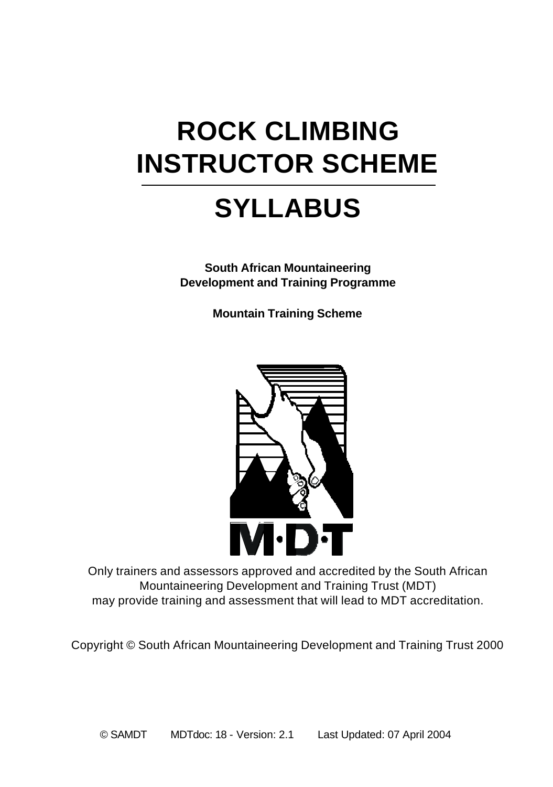## **ROCK CLIMBING INSTRUCTOR SCHEME**

## **SYLLABUS**

**South African Mountaineering Development and Training Programme**

**Mountain Training Scheme**



Only trainers and assessors approved and accredited by the South African Mountaineering Development and Training Trust (MDT) may provide training and assessment that will lead to MDT accreditation.

Copyright © South African Mountaineering Development and Training Trust 2000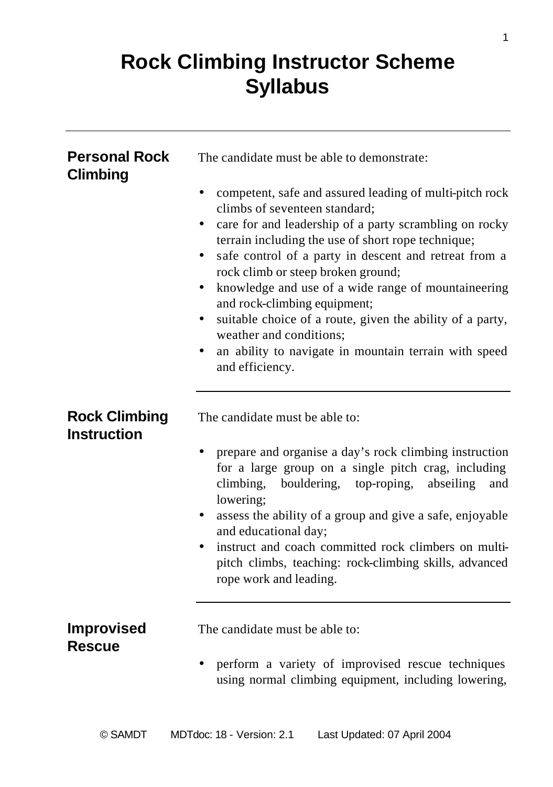## **Rock Climbing Instructor Scheme Syllabus**

| <b>Personal Rock</b><br><b>Climbing</b>    | The candidate must be able to demonstrate:                                                                                                                                                                                                                                                                                                                                                                                                                                                                                                                                                          |
|--------------------------------------------|-----------------------------------------------------------------------------------------------------------------------------------------------------------------------------------------------------------------------------------------------------------------------------------------------------------------------------------------------------------------------------------------------------------------------------------------------------------------------------------------------------------------------------------------------------------------------------------------------------|
|                                            | competent, safe and assured leading of multi-pitch rock<br>$\bullet$<br>climbs of seventeen standard:<br>care for and leadership of a party scrambling on rocky<br>٠<br>terrain including the use of short rope technique;<br>safe control of a party in descent and retreat from a<br>٠<br>rock climb or steep broken ground;<br>knowledge and use of a wide range of mountaineering<br>٠<br>and rock-climbing equipment;<br>suitable choice of a route, given the ability of a party,<br>٠<br>weather and conditions;<br>an ability to navigate in mountain terrain with speed<br>and efficiency. |
| <b>Rock Climbing</b><br><b>Instruction</b> | The candidate must be able to:<br>prepare and organise a day's rock climbing instruction<br>for a large group on a single pitch crag, including<br>abseiling<br>climbing,<br>bouldering, top-roping,<br>and<br>lowering;<br>assess the ability of a group and give a safe, enjoyable<br>$\bullet$<br>and educational day;<br>instruct and coach committed rock climbers on multi-                                                                                                                                                                                                                   |
|                                            | pitch climbs, teaching: rock-climbing skills, advanced<br>rope work and leading.                                                                                                                                                                                                                                                                                                                                                                                                                                                                                                                    |
| <b>Improvised</b><br><b>Rescue</b>         | The candidate must be able to:<br>perform a variety of improvised rescue techniques<br>using normal climbing equipment, including lowering,                                                                                                                                                                                                                                                                                                                                                                                                                                                         |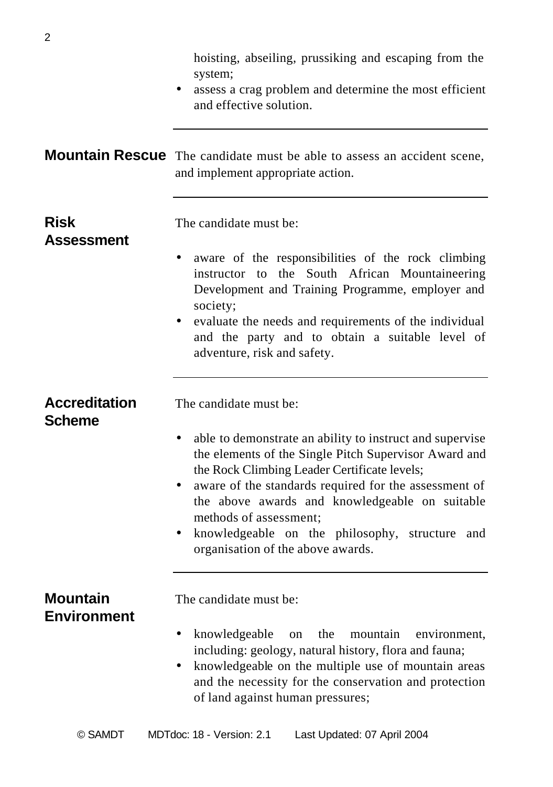|                                       | hoisting, abseiling, prussiking and escaping from the<br>system;<br>assess a crag problem and determine the most efficient<br>and effective solution.                                                                                                                                                                                                                                                                   |
|---------------------------------------|-------------------------------------------------------------------------------------------------------------------------------------------------------------------------------------------------------------------------------------------------------------------------------------------------------------------------------------------------------------------------------------------------------------------------|
|                                       | Mountain Rescue The candidate must be able to assess an accident scene,<br>and implement appropriate action.                                                                                                                                                                                                                                                                                                            |
| <b>Risk</b><br>Assessment             | The candidate must be:<br>aware of the responsibilities of the rock climbing<br>instructor to the South African Mountaineering<br>Development and Training Programme, employer and<br>society;<br>evaluate the needs and requirements of the individual<br>and the party and to obtain a suitable level of<br>adventure, risk and safety.                                                                               |
| <b>Accreditation</b><br><b>Scheme</b> | The candidate must be:<br>able to demonstrate an ability to instruct and supervise<br>the elements of the Single Pitch Supervisor Award and<br>the Rock Climbing Leader Certificate levels;<br>aware of the standards required for the assessment of<br>the above awards and knowledgeable on suitable<br>methods of assessment;<br>knowledgeable on the philosophy, structure and<br>organisation of the above awards. |
| <b>Mountain</b><br><b>Environment</b> | The candidate must be:<br>knowledgeable<br>the<br>mountain<br>environment.<br>$\bullet$<br>on<br>including: geology, natural history, flora and fauna;<br>knowledgeable on the multiple use of mountain areas<br>and the necessity for the conservation and protection<br>of land against human pressures;                                                                                                              |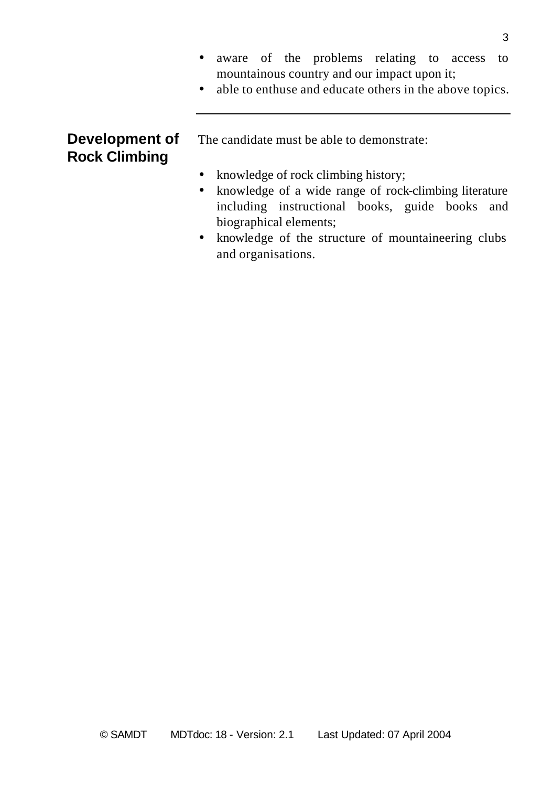- aware of the problems relating to access to mountainous country and our impact upon it;
- able to enthuse and educate others in the above topics.

# **Rock Climbing**

**Development of** The candidate must be able to demonstrate:

- knowledge of rock climbing history;
- knowledge of a wide range of rock-climbing literature including instructional books, guide books and biographical elements;
- knowledge of the structure of mountaineering clubs and organisations.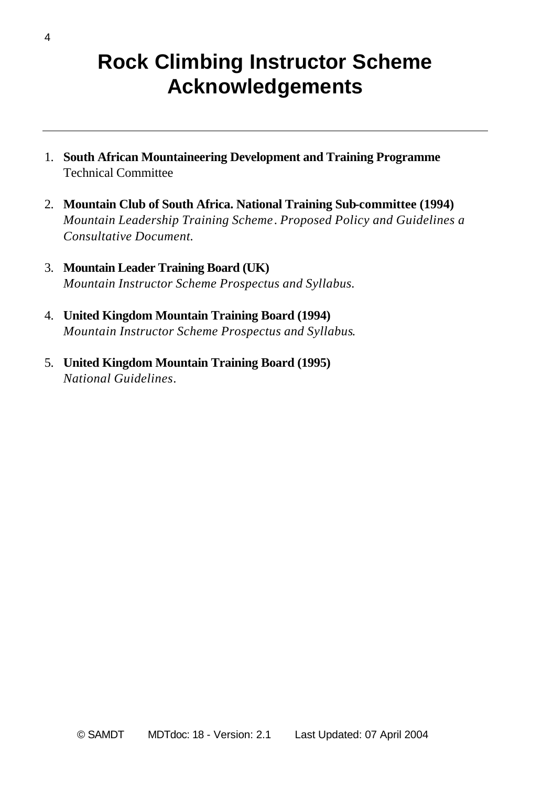### **Rock Climbing Instructor Scheme Acknowledgements**

- 1. **South African Mountaineering Development and Training Programme** Technical Committee
- 2. **Mountain Club of South Africa. National Training Sub-committee (1994)** *Mountain Leadership Training Scheme*. *Proposed Policy and Guidelines a Consultative Document.*
- 3. **Mountain Leader Training Board (UK)** *Mountain Instructor Scheme Prospectus and Syllabus.*
- 4. **United Kingdom Mountain Training Board (1994)** *Mountain Instructor Scheme Prospectus and Syllabus*.
- 5. **United Kingdom Mountain Training Board (1995)** *National Guidelines*.